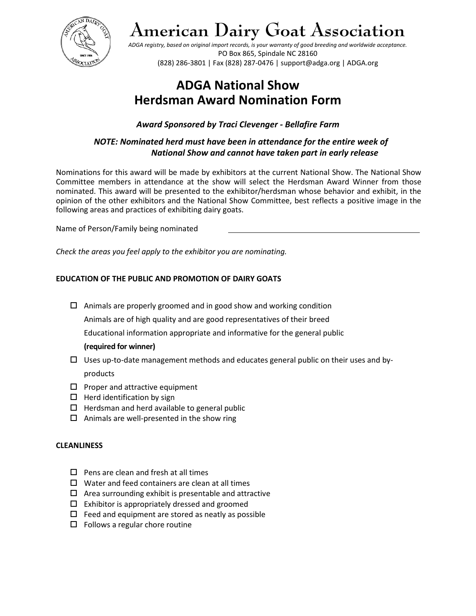

# **American Dairy Goat Association**

*ADGA registry, based on original import records, is your warranty of good breeding and worldwide acceptance.*  PO Box 865, Spindale NC 28160 (828) 286-3801 | Fax (828) 287-0476 | support@adga.org | ADGA.org

# **ADGA National Show Herdsman Award Nomination Form**

*Award Sponsored by Traci Clevenger - Bellafire Farm* 

# *NOTE: Nominated herd must have been in attendance for the entire week of National Show and cannot have taken part in early release*

Nominations for this award will be made by exhibitors at the current National Show. The National Show Committee members in attendance at the show will select the Herdsman Award Winner from those nominated. This award will be presented to the exhibitor/herdsman whose behavior and exhibit, in the opinion of the other exhibitors and the National Show Committee, best reflects a positive image in the following areas and practices of exhibiting dairy goats.

Name of Person/Family being nominated

*Check the areas you feel apply to the exhibitor you are nominating.*

# **EDUCATION OF THE PUBLIC AND PROMOTION OF DAIRY GOATS**

 $\Box$  Animals are properly groomed and in good show and working condition

Animals are of high quality and are good representatives of their breed

Educational information appropriate and informative for the general public

## **(required for winner)**

- $\Box$  Uses up-to-date management methods and educates general public on their uses and byproducts
- $\square$  Proper and attractive equipment
- $\Box$  Herd identification by sign
- $\Box$  Herdsman and herd available to general public
- $\Box$  Animals are well-presented in the show ring

## **CLEANLINESS**

- $\Box$  Pens are clean and fresh at all times
- $\square$  Water and feed containers are clean at all times
- $\Box$  Area surrounding exhibit is presentable and attractive
- $\square$  Exhibitor is appropriately dressed and groomed
- $\Box$  Feed and equipment are stored as neatly as possible
- $\Box$  Follows a regular chore routine